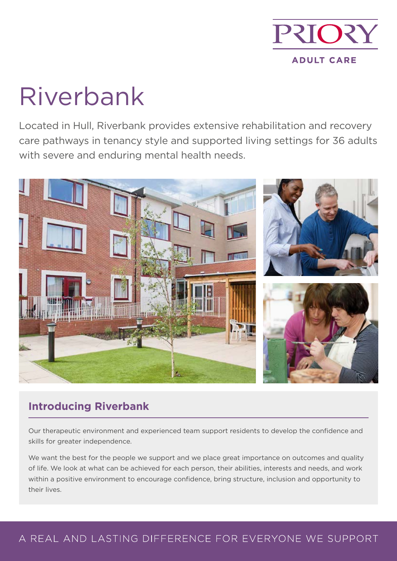

# Riverbank

Located in Hull, Riverbank provides extensive rehabilitation and recovery care pathways in tenancy style and supported living settings for 36 adults with severe and enduring mental health needs.



# **Introducing Riverbank**

Our therapeutic environment and experienced team support residents to develop the confidence and skills for greater independence.

We want the best for the people we support and we place great importance on outcomes and quality of life. We look at what can be achieved for each person, their abilities, interests and needs, and work within a positive environment to encourage confidence, bring structure, inclusion and opportunity to their lives.